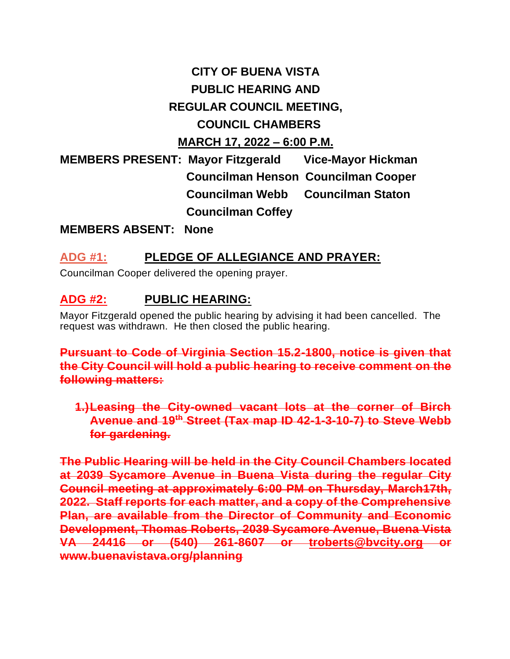# **CITY OF BUENA VISTA PUBLIC HEARING AND REGULAR COUNCIL MEETING, COUNCIL CHAMBERS MARCH 17, 2022 – 6:00 P.M.**

**MEMBERS PRESENT: Mayor Fitzgerald Vice-Mayor Hickman Councilman Henson Councilman Cooper Councilman Webb Councilman Staton Councilman Coffey**

**MEMBERS ABSENT: None**

## **ADG #1: PLEDGE OF ALLEGIANCE AND PRAYER:**

Councilman Cooper delivered the opening prayer.

## **ADG #2: PUBLIC HEARING:**

Mayor Fitzgerald opened the public hearing by advising it had been cancelled. The request was withdrawn. He then closed the public hearing.

**Pursuant to Code of Virginia Section 15.2-1800, notice is given that the City Council will hold a public hearing to receive comment on the following matters:**

**1.)Leasing the City-owned vacant lots at the corner of Birch Avenue and 19th Street (Tax map ID 42-1-3-10-7) to Steve Webb for gardening.**

**The Public Hearing will be held in the City Council Chambers located at 2039 Sycamore Avenue in Buena Vista during the regular City Council meeting at approximately 6:00 PM on Thursday, March17th, 2022. Staff reports for each matter, and a copy of the Comprehensive Plan, are available from the Director of Community and Economic Development, Thomas Roberts, 2039 Sycamore Avenue, Buena Vista VA 24416 or (540) 261-8607 or [troberts@bvcity.org](mailto:troberts@bvcity.org) or www.buenavistava.org/planning**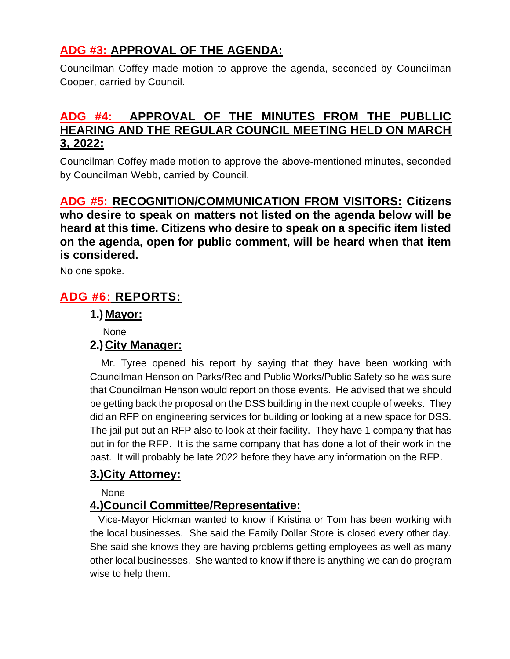## **ADG #3: APPROVAL OF THE AGENDA:**

Councilman Coffey made motion to approve the agenda, seconded by Councilman Cooper, carried by Council.

## **ADG #4: APPROVAL OF THE MINUTES FROM THE PUBLLIC HEARING AND THE REGULAR COUNCIL MEETING HELD ON MARCH 3, 2022:**

Councilman Coffey made motion to approve the above-mentioned minutes, seconded by Councilman Webb, carried by Council.

**ADG #5: RECOGNITION/COMMUNICATION FROM VISITORS: Citizens who desire to speak on matters not listed on the agenda below will be heard at this time. Citizens who desire to speak on a specific item listed on the agenda, open for public comment, will be heard when that item is considered.**

No one spoke.

## **ADG #6: REPORTS:**

## **1.) Mayor:**

None

## **2.) City Manager:**

 Mr. Tyree opened his report by saying that they have been working with Councilman Henson on Parks/Rec and Public Works/Public Safety so he was sure that Councilman Henson would report on those events. He advised that we should be getting back the proposal on the DSS building in the next couple of weeks. They did an RFP on engineering services for building or looking at a new space for DSS. The jail put out an RFP also to look at their facility. They have 1 company that has put in for the RFP. It is the same company that has done a lot of their work in the past. It will probably be late 2022 before they have any information on the RFP.

## **3.)City Attorney:**

None

## **4.)Council Committee/Representative:**

 Vice-Mayor Hickman wanted to know if Kristina or Tom has been working with the local businesses. She said the Family Dollar Store is closed every other day. She said she knows they are having problems getting employees as well as many other local businesses. She wanted to know if there is anything we can do program wise to help them.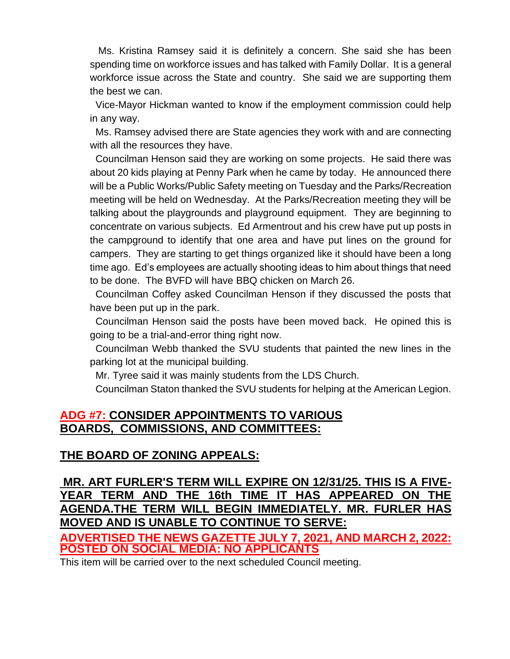Ms. Kristina Ramsey said it is definitely a concern. She said she has been spending time on workforce issues and has talked with Family Dollar. It is a general workforce issue across the State and country. She said we are supporting them the best we can.

 Vice-Mayor Hickman wanted to know if the employment commission could help in any way.

 Ms. Ramsey advised there are State agencies they work with and are connecting with all the resources they have.

 Councilman Henson said they are working on some projects. He said there was about 20 kids playing at Penny Park when he came by today. He announced there will be a Public Works/Public Safety meeting on Tuesday and the Parks/Recreation meeting will be held on Wednesday. At the Parks/Recreation meeting they will be talking about the playgrounds and playground equipment. They are beginning to concentrate on various subjects. Ed Armentrout and his crew have put up posts in the campground to identify that one area and have put lines on the ground for campers. They are starting to get things organized like it should have been a long time ago. Ed's employees are actually shooting ideas to him about things that need to be done. The BVFD will have BBQ chicken on March 26.

 Councilman Coffey asked Councilman Henson if they discussed the posts that have been put up in the park.

 Councilman Henson said the posts have been moved back. He opined this is going to be a trial-and-error thing right now.

 Councilman Webb thanked the SVU students that painted the new lines in the parking lot at the municipal building.

Mr. Tyree said it was mainly students from the LDS Church.

Councilman Staton thanked the SVU students for helping at the American Legion.

## **ADG #7: CONSIDER APPOINTMENTS TO VARIOUS BOARDS, COMMISSIONS, AND COMMITTEES:**

## **THE BOARD OF ZONING APPEALS:**

## **MR. ART FURLER'S TERM WILL EXPIRE ON 12/31/25. THIS IS A FIVE-YEAR TERM AND THE 16th TIME IT HAS APPEARED ON THE AGENDA.THE TERM WILL BEGIN [IMMEDIATELY. MR.](http://immediately.mr/) FURLER HAS MOVED AND IS UNABLE TO CONTINUE TO SERVE:**

**ADVERTISED THE NEWS GAZETTE JULY 7, 2021, AND MARCH 2, 2022: POSTED ON SOCIAL MEDIA: NO APPLICANTS**

This item will be carried over to the next scheduled Council meeting.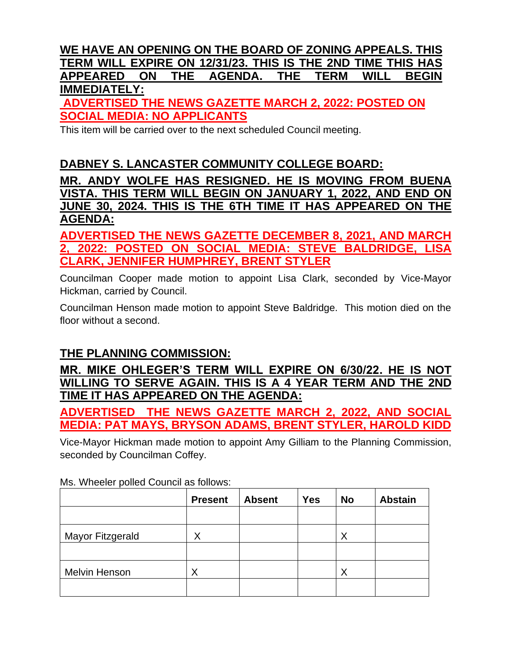## **WE HAVE AN OPENING ON THE BOARD OF ZONING APPEALS. THIS TERM WILL EXPIRE ON 12/31/23. THIS IS THE 2ND TIME THIS HAS APPEARED ON THE AGENDA. THE TERM WILL BEGIN IMMEDIATELY:**

**ADVERTISED THE NEWS GAZETTE MARCH 2, 2022: POSTED ON SOCIAL MEDIA: NO APPLICANTS**

This item will be carried over to the next scheduled Council meeting.

## **DABNEY S. LANCASTER COMMUNITY COLLEGE BOARD:**

**MR. ANDY WOLFE HAS RESIGNED. HE IS MOVING FROM BUENA VISTA. THIS TERM WILL BEGIN ON JANUARY 1, 2022, AND END ON JUNE 30, 2024. THIS IS THE 6TH TIME IT HAS APPEARED ON THE AGENDA:**

**ADVERTISED THE NEWS GAZETTE DECEMBER 8, 2021, AND MARCH 2, 2022: POSTED ON SOCIAL MEDIA: STEVE BALDRIDGE, LISA CLARK, JENNIFER HUMPHREY, BRENT STYLER**

Councilman Cooper made motion to appoint Lisa Clark, seconded by Vice-Mayor Hickman, carried by Council.

Councilman Henson made motion to appoint Steve Baldridge. This motion died on the floor without a second.

## **THE PLANNING COMMISSION:**

**MR. MIKE OHLEGER'S TERM WILL EXPIRE ON 6/30/22. HE IS NOT WILLING TO SERVE AGAIN. THIS IS A 4 YEAR TERM AND THE 2ND TIME IT HAS APPEARED ON THE AGENDA:**

**ADVERTISED THE NEWS GAZETTE MARCH 2, 2022, AND SOCIAL MEDIA: PAT MAYS, BRYSON ADAMS, BRENT STYLER, HAROLD KIDD**

Vice-Mayor Hickman made motion to appoint Amy Gilliam to the Planning Commission, seconded by Councilman Coffey.

|                      | <b>Present</b> | <b>Absent</b> | <b>Yes</b> | <b>No</b> | <b>Abstain</b> |
|----------------------|----------------|---------------|------------|-----------|----------------|
|                      |                |               |            |           |                |
| Mayor Fitzgerald     | Χ              |               |            | Χ         |                |
|                      |                |               |            |           |                |
| <b>Melvin Henson</b> | ⋏              |               |            | Χ         |                |
|                      |                |               |            |           |                |

Ms. Wheeler polled Council as follows: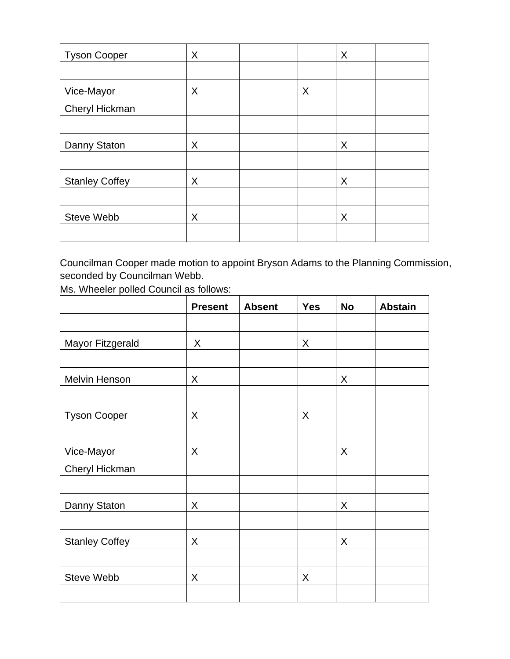| <b>Tyson Cooper</b>   | X |   | X |  |
|-----------------------|---|---|---|--|
|                       |   |   |   |  |
| Vice-Mayor            | X | X |   |  |
| Cheryl Hickman        |   |   |   |  |
|                       |   |   |   |  |
| Danny Staton          | X |   | X |  |
|                       |   |   |   |  |
| <b>Stanley Coffey</b> | X |   | X |  |
|                       |   |   |   |  |
| <b>Steve Webb</b>     | X |   | X |  |
|                       |   |   |   |  |

Councilman Cooper made motion to appoint Bryson Adams to the Planning Commission, seconded by Councilman Webb.

|                         | <b>Present</b> | <b>Absent</b> | <b>Yes</b> | <b>No</b> | <b>Abstain</b> |
|-------------------------|----------------|---------------|------------|-----------|----------------|
|                         |                |               |            |           |                |
| <b>Mayor Fitzgerald</b> | X              |               | X          |           |                |
|                         |                |               |            |           |                |
| Melvin Henson           | X              |               |            | X         |                |
|                         |                |               |            |           |                |
| <b>Tyson Cooper</b>     | X              |               | X          |           |                |
|                         |                |               |            |           |                |
| Vice-Mayor              | X              |               |            | X         |                |
| Cheryl Hickman          |                |               |            |           |                |
|                         |                |               |            |           |                |
| Danny Staton            | X              |               |            | X         |                |
|                         |                |               |            |           |                |
| <b>Stanley Coffey</b>   | X              |               |            | X         |                |
|                         |                |               |            |           |                |
| Steve Webb              | X              |               | X          |           |                |
|                         |                |               |            |           |                |

Ms. Wheeler polled Council as follows: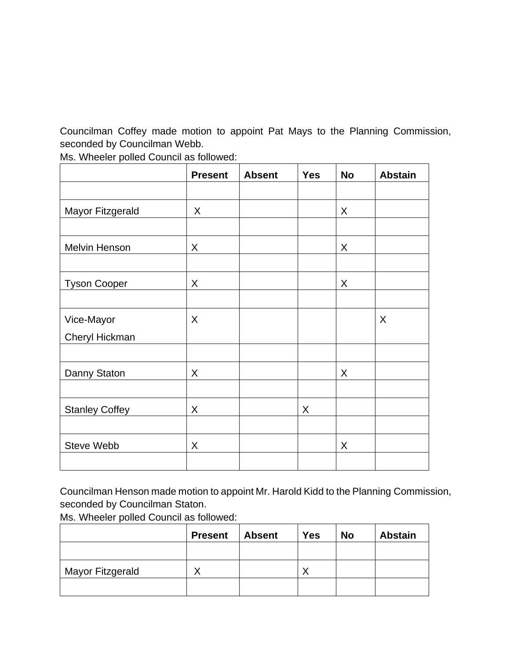Councilman Coffey made motion to appoint Pat Mays to the Planning Commission, seconded by Councilman Webb.

|                       | <b>Present</b> | <b>Absent</b> | <b>Yes</b> | <b>No</b> | <b>Abstain</b> |
|-----------------------|----------------|---------------|------------|-----------|----------------|
|                       |                |               |            |           |                |
| Mayor Fitzgerald      | X              |               |            | X         |                |
|                       |                |               |            |           |                |
| <b>Melvin Henson</b>  | X              |               |            | X         |                |
|                       |                |               |            |           |                |
| <b>Tyson Cooper</b>   | X              |               |            | X         |                |
|                       |                |               |            |           |                |
| Vice-Mayor            | X              |               |            |           | X              |
| Cheryl Hickman        |                |               |            |           |                |
|                       |                |               |            |           |                |
| Danny Staton          | X              |               |            | X         |                |
|                       |                |               |            |           |                |
| <b>Stanley Coffey</b> | X              |               | X          |           |                |
|                       |                |               |            |           |                |
| <b>Steve Webb</b>     | X              |               |            | X         |                |
|                       |                |               |            |           |                |

Ms. Wheeler polled Council as followed:

Councilman Henson made motion to appoint Mr. Harold Kidd to the Planning Commission, seconded by Councilman Staton.

| <b>Absent</b><br><b>Present</b> | <b>Yes</b>  | <b>No</b> | <b>Abstain</b> |
|---------------------------------|-------------|-----------|----------------|
|                                 |             |           |                |
|                                 |             |           |                |
|                                 | $\check{ }$ |           |                |
|                                 |             |           |                |
|                                 |             |           |                |

Ms. Wheeler polled Council as followed: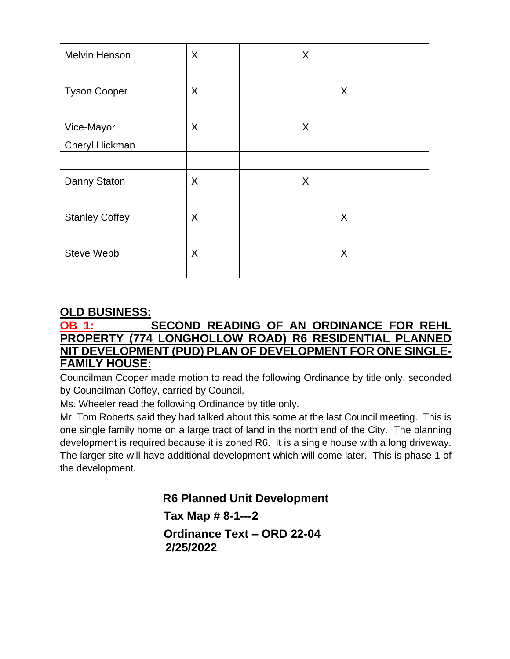| <b>Melvin Henson</b>  | X | X |   |
|-----------------------|---|---|---|
|                       |   |   |   |
| <b>Tyson Cooper</b>   | X |   | X |
|                       |   |   |   |
| Vice-Mayor            | X | X |   |
| Cheryl Hickman        |   |   |   |
|                       |   |   |   |
| Danny Staton          | X | X |   |
|                       |   |   |   |
| <b>Stanley Coffey</b> | X |   | X |
|                       |   |   |   |
| Steve Webb            | X |   | X |
|                       |   |   |   |

## **OLD BUSINESS:**

## **OB 1: SECOND READING OF AN ORDINANCE FOR REHL PROPERTY (774 LONGHOLLOW ROAD) R6 RESIDENTIAL PLANNED NIT DEVELOPMENT (PUD) PLAN OF DEVELOPMENT FOR ONE SINGLE-FAMILY HOUSE:**

Councilman Cooper made motion to read the following Ordinance by title only, seconded by Councilman Coffey, carried by Council.

Ms. Wheeler read the following Ordinance by title only.

Mr. Tom Roberts said they had talked about this some at the last Council meeting. This is one single family home on a large tract of land in the north end of the City. The planning development is required because it is zoned R6. It is a single house with a long driveway. The larger site will have additional development which will come later. This is phase 1 of the development.

 **R6 Planned Unit Development**

 **Tax Map # 8-1---2**

 **Ordinance Text – ORD 22-04 2/25/2022**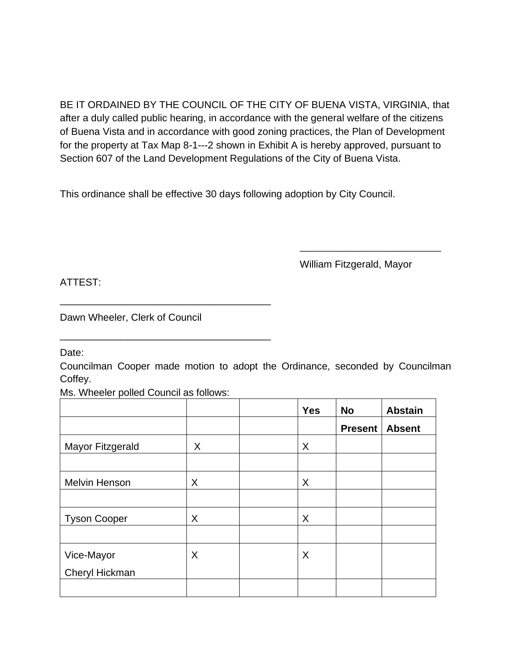BE IT ORDAINED BY THE COUNCIL OF THE CITY OF BUENA VISTA, VIRGINIA, that after a duly called public hearing, in accordance with the general welfare of the citizens of Buena Vista and in accordance with good zoning practices, the Plan of Development for the property at Tax Map 8-1---2 shown in Exhibit A is hereby approved, pursuant to Section 607 of the Land Development Regulations of the City of Buena Vista.

This ordinance shall be effective 30 days following adoption by City Council.

William Fitzgerald, Mayor

\_\_\_\_\_\_\_\_\_\_\_\_\_\_\_\_\_\_\_\_\_\_\_\_\_\_\_\_\_\_\_

ATTEST:

Dawn Wheeler, Clerk of Council

\_\_\_\_\_\_\_\_\_\_\_\_\_\_\_\_\_\_\_\_\_\_\_\_\_\_\_\_\_\_\_\_\_\_\_\_\_\_

\_\_\_\_\_\_\_\_\_\_\_\_\_\_\_\_\_\_\_\_\_\_\_\_\_\_\_\_\_\_\_\_\_\_\_\_\_\_

Date:

Councilman Cooper made motion to adopt the Ordinance, seconded by Councilman Coffey.

Ms. Wheeler polled Council as follows:

|                      |   | <b>Yes</b> | <b>No</b>      | <b>Abstain</b> |
|----------------------|---|------------|----------------|----------------|
|                      |   |            | <b>Present</b> | <b>Absent</b>  |
| Mayor Fitzgerald     | X | X          |                |                |
|                      |   |            |                |                |
| <b>Melvin Henson</b> | X | X          |                |                |
|                      |   |            |                |                |
| <b>Tyson Cooper</b>  | X | X          |                |                |
|                      |   |            |                |                |
| Vice-Mayor           | X | X          |                |                |
| Cheryl Hickman       |   |            |                |                |
|                      |   |            |                |                |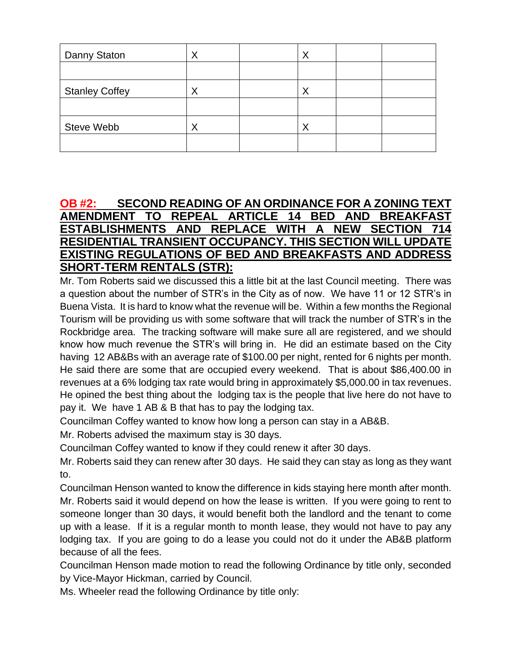| Danny Staton          | Χ | X |  |
|-----------------------|---|---|--|
|                       |   |   |  |
| <b>Stanley Coffey</b> | Χ | Χ |  |
|                       |   |   |  |
| <b>Steve Webb</b>     | Χ | Χ |  |
|                       |   |   |  |

### **OB #2: SECOND READING OF AN ORDINANCE FOR A ZONING TEXT AMENDMENT TO REPEAL ARTICLE 14 BED AND BREAKFAST ESTABLISHMENTS AND REPLACE WITH A NEW SECTION 714 RESIDENTIAL TRANSIENT OCCUPANCY. THIS SECTION WILL UPDATE EXISTING REGULATIONS OF BED AND BREAKFASTS AND ADDRESS SHORT-TERM RENTALS (STR):**

Mr. Tom Roberts said we discussed this a little bit at the last Council meeting. There was a question about the number of STR's in the City as of now. We have 11 or 12 STR's in Buena Vista. It is hard to know what the revenue will be. Within a few months the Regional Tourism will be providing us with some software that will track the number of STR's in the Rockbridge area. The tracking software will make sure all are registered, and we should know how much revenue the STR's will bring in. He did an estimate based on the City having 12 AB&Bs with an average rate of \$100.00 per night, rented for 6 nights per month. He said there are some that are occupied every weekend. That is about \$86,400.00 in revenues at a 6% lodging tax rate would bring in approximately \$5,000.00 in tax revenues. He opined the best thing about the lodging tax is the people that live here do not have to pay it. We have 1 AB & B that has to pay the lodging tax.

Councilman Coffey wanted to know how long a person can stay in a AB&B.

Mr. Roberts advised the maximum stay is 30 days.

Councilman Coffey wanted to know if they could renew it after 30 days.

Mr. Roberts said they can renew after 30 days. He said they can stay as long as they want to.

Councilman Henson wanted to know the difference in kids staying here month after month. Mr. Roberts said it would depend on how the lease is written. If you were going to rent to someone longer than 30 days, it would benefit both the landlord and the tenant to come up with a lease. If it is a regular month to month lease, they would not have to pay any lodging tax. If you are going to do a lease you could not do it under the AB&B platform because of all the fees.

Councilman Henson made motion to read the following Ordinance by title only, seconded by Vice-Mayor Hickman, carried by Council.

Ms. Wheeler read the following Ordinance by title only: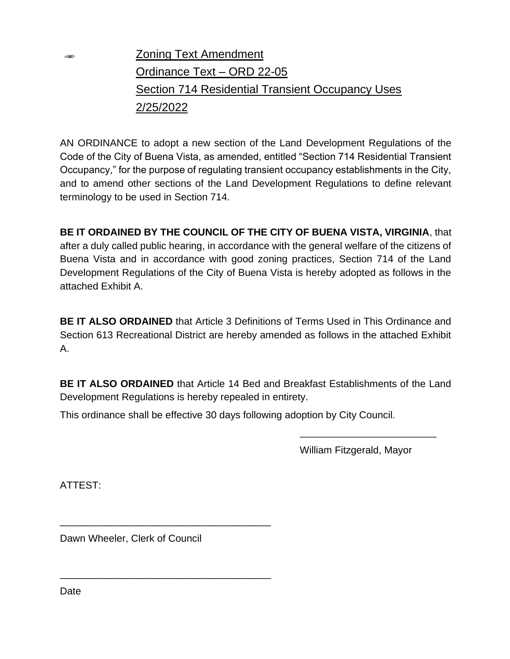Zoning Text Amendment Ordinance Text – ORD 22-05 Section 714 Residential Transient Occupancy Uses 2/25/2022

AN ORDINANCE to adopt a new section of the Land Development Regulations of the Code of the City of Buena Vista, as amended, entitled "Section 714 Residential Transient Occupancy," for the purpose of regulating transient occupancy establishments in the City, and to amend other sections of the Land Development Regulations to define relevant terminology to be used in Section 714.

**BE IT ORDAINED BY THE COUNCIL OF THE CITY OF BUENA VISTA, VIRGINIA**, that after a duly called public hearing, in accordance with the general welfare of the citizens of Buena Vista and in accordance with good zoning practices, Section 714 of the Land Development Regulations of the City of Buena Vista is hereby adopted as follows in the attached Exhibit A.

**BE IT ALSO ORDAINED** that Article 3 Definitions of Terms Used in This Ordinance and Section 613 Recreational District are hereby amended as follows in the attached Exhibit A.

**BE IT ALSO ORDAINED** that Article 14 Bed and Breakfast Establishments of the Land Development Regulations is hereby repealed in entirety.

This ordinance shall be effective 30 days following adoption by City Council.

William Fitzgerald, Mayor

\_\_\_\_\_\_\_\_\_\_\_\_\_\_\_\_\_\_\_\_\_\_\_\_\_\_\_\_\_\_

ATTEST:

SHOW:

Dawn Wheeler, Clerk of Council

\_\_\_\_\_\_\_\_\_\_\_\_\_\_\_\_\_\_\_\_\_\_\_\_\_\_\_\_\_\_\_\_\_\_\_\_\_\_

\_\_\_\_\_\_\_\_\_\_\_\_\_\_\_\_\_\_\_\_\_\_\_\_\_\_\_\_\_\_\_\_\_\_\_\_\_\_

Date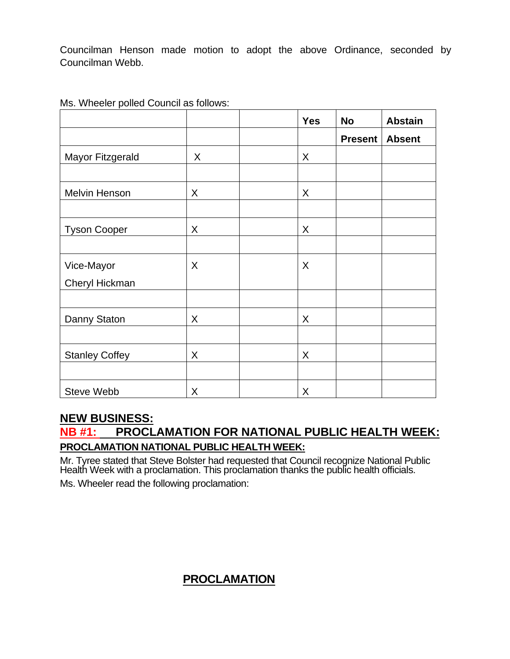Councilman Henson made motion to adopt the above Ordinance, seconded by Councilman Webb.

|                       |   | <b>Yes</b> | <b>No</b>      | <b>Abstain</b> |
|-----------------------|---|------------|----------------|----------------|
|                       |   |            | <b>Present</b> | <b>Absent</b>  |
| Mayor Fitzgerald      | X | X          |                |                |
|                       |   |            |                |                |
| Melvin Henson         | X | X          |                |                |
|                       |   |            |                |                |
| <b>Tyson Cooper</b>   | X | X          |                |                |
|                       |   |            |                |                |
| Vice-Mayor            | X | X          |                |                |
| Cheryl Hickman        |   |            |                |                |
|                       |   |            |                |                |
| Danny Staton          | X | X          |                |                |
|                       |   |            |                |                |
| <b>Stanley Coffey</b> | X | X          |                |                |
|                       |   |            |                |                |
| <b>Steve Webb</b>     | X | X          |                |                |

Ms. Wheeler polled Council as follows:

## **NEW BUSINESS:**

## **NB #1: PROCLAMATION FOR NATIONAL PUBLIC HEALTH WEEK: PROCLAMATION NATIONAL PUBLIC HEALTH WEEK:**

Mr. Tyree stated that Steve Bolster had requested that Council recognize National Public Health Week with a proclamation. This proclamation thanks the public health officials. Ms. Wheeler read the following proclamation:

## **PROCLAMATION**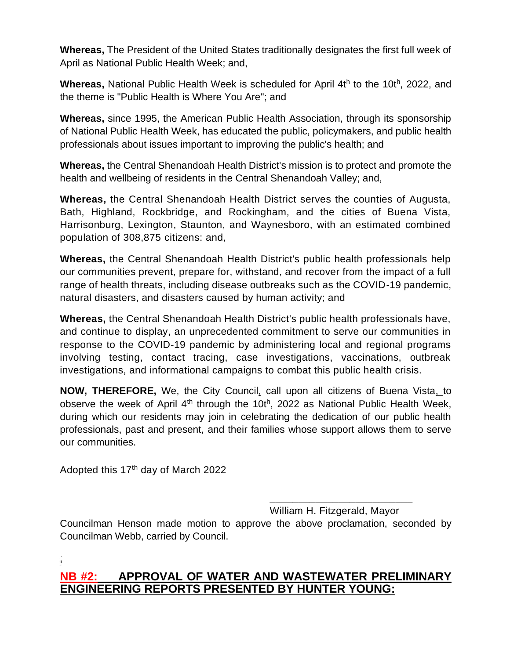**Whereas,** The President of the United States traditionally designates the first full week of April as National Public Health Week; and,

Whereas, National Public Health Week is scheduled for April 4th to the 10th, 2022, and the theme is "Public Health is Where You Are"; and

**Whereas,** since 1995, the American Public Health Association, through its sponsorship of National Public Health Week, has educated the public, policymakers, and public health professionals about issues important to improving the public's health; and

**Whereas,** the Central Shenandoah Health District's mission is to protect and promote the health and wellbeing of residents in the Central Shenandoah Valley; and,

**Whereas,** the Central Shenandoah Health District serves the counties of Augusta, Bath, Highland, Rockbridge, and Rockingham, and the cities of Buena Vista, Harrisonburg, Lexington, Staunton, and Waynesboro, with an estimated combined population of 308,875 citizens: and,

**Whereas,** the Central Shenandoah Health District's public health professionals help our communities prevent, prepare for, withstand, and recover from the impact of a full range of health threats, including disease outbreaks such as the COVID-19 pandemic, natural disasters, and disasters caused by human activity; and

**Whereas,** the Central Shenandoah Health District's public health professionals have, and continue to display, an unprecedented commitment to serve our communities in response to the COVID-19 pandemic by administering local and regional programs involving testing, contact tracing, case investigations, vaccinations, outbreak investigations, and informational campaigns to combat this public health crisis.

**NOW, THEREFORE,** We, the City Council, call upon all citizens of Buena Vista, to observe the week of April 4<sup>th</sup> through the 10th, 2022 as National Public Health Week, during which our residents may join in celebrating the dedication of our public health professionals, past and present, and their families whose support allows them to serve our communities.

Adopted this 17<sup>th</sup> day of March 2022

William H. Fitzgerald, Mayor

\_\_\_\_\_\_\_\_\_\_\_\_\_\_\_\_\_\_\_\_\_\_\_\_\_

Councilman Henson made motion to approve the above proclamation, seconded by Councilman Webb, carried by Council.

## **NB #2: APPROVAL OF WATER AND WASTEWATER PRELIMINARY ENGINEERING REPORTS PRESENTED BY HUNTER YOUNG:**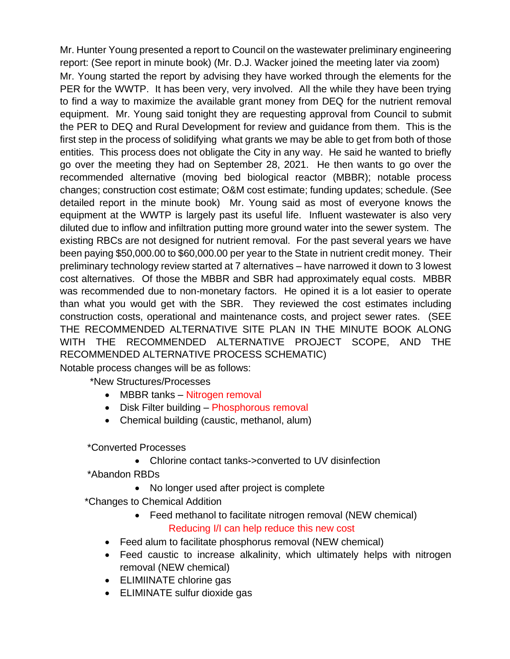Mr. Hunter Young presented a report to Council on the wastewater preliminary engineering report: (See report in minute book) (Mr. D.J. Wacker joined the meeting later via zoom) Mr. Young started the report by advising they have worked through the elements for the PER for the WWTP. It has been very, very involved. All the while they have been trying to find a way to maximize the available grant money from DEQ for the nutrient removal equipment. Mr. Young said tonight they are requesting approval from Council to submit the PER to DEQ and Rural Development for review and guidance from them. This is the first step in the process of solidifying what grants we may be able to get from both of those entities. This process does not obligate the City in any way. He said he wanted to briefly go over the meeting they had on September 28, 2021. He then wants to go over the recommended alternative (moving bed biological reactor (MBBR); notable process changes; construction cost estimate; O&M cost estimate; funding updates; schedule. (See detailed report in the minute book) Mr. Young said as most of everyone knows the equipment at the WWTP is largely past its useful life. Influent wastewater is also very diluted due to inflow and infiltration putting more ground water into the sewer system. The existing RBCs are not designed for nutrient removal. For the past several years we have been paying \$50,000.00 to \$60,000.00 per year to the State in nutrient credit money. Their preliminary technology review started at 7 alternatives – have narrowed it down to 3 lowest cost alternatives. Of those the MBBR and SBR had approximately equal costs. MBBR was recommended due to non-monetary factors. He opined it is a lot easier to operate than what you would get with the SBR. They reviewed the cost estimates including construction costs, operational and maintenance costs, and project sewer rates. (SEE THE RECOMMENDED ALTERNATIVE SITE PLAN IN THE MINUTE BOOK ALONG WITH THE RECOMMENDED ALTERNATIVE PROJECT SCOPE, AND THE RECOMMENDED ALTERNATIVE PROCESS SCHEMATIC) Notable process changes will be as follows:

\*New Structures/Processes

- MBBR tanks Nitrogen removal
- Disk Filter building Phosphorous removal
- Chemical building (caustic, methanol, alum)

\*Converted Processes

• Chlorine contact tanks->converted to UV disinfection

\*Abandon RBDs

- No longer used after project is complete
- \*Changes to Chemical Addition
	- Feed methanol to facilitate nitrogen removal (NEW chemical) Reducing I/I can help reduce this new cost
	- Feed alum to facilitate phosphorus removal (NEW chemical)
	- Feed caustic to increase alkalinity, which ultimately helps with nitrogen removal (NEW chemical)
	- ELIMIINATE chlorine gas
	- ELIMINATE sulfur dioxide gas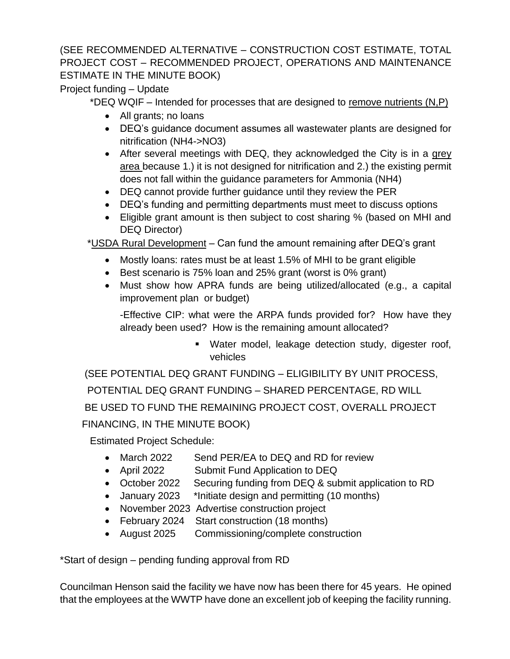### (SEE RECOMMENDED ALTERNATIVE – CONSTRUCTION COST ESTIMATE, TOTAL PROJECT COST – RECOMMENDED PROJECT, OPERATIONS AND MAINTENANCE ESTIMATE IN THE MINUTE BOOK)

Project funding – Update

\*DEQ WQIF – Intended for processes that are designed to remove nutrients (N,P)

- All grants; no loans
- DEQ's guidance document assumes all wastewater plants are designed for nitrification (NH4->NO3)
- After several meetings with DEQ, they acknowledged the City is in a grey area because 1.) it is not designed for nitrification and 2.) the existing permit does not fall within the guidance parameters for Ammonia (NH4)
- DEQ cannot provide further guidance until they review the PER
- DEQ's funding and permitting departments must meet to discuss options
- Eligible grant amount is then subject to cost sharing % (based on MHI and DEQ Director)

\*USDA Rural Development – Can fund the amount remaining after DEQ's grant

- Mostly loans: rates must be at least 1.5% of MHI to be grant eligible
- Best scenario is 75% loan and 25% grant (worst is 0% grant)
- Must show how APRA funds are being utilized/allocated (e.g., a capital improvement plan or budget)

-Effective CIP: what were the ARPA funds provided for? How have they already been used? How is the remaining amount allocated?

> ■ Water model, leakage detection study, digester roof, vehicles

 (SEE POTENTIAL DEQ GRANT FUNDING – ELIGIBILITY BY UNIT PROCESS, POTENTIAL DEQ GRANT FUNDING – SHARED PERCENTAGE, RD WILL

 BE USED TO FUND THE REMAINING PROJECT COST, OVERALL PROJECT FINANCING, IN THE MINUTE BOOK)

Estimated Project Schedule:

- March 2022 Send PER/EA to DEQ and RD for review
- April 2022 Submit Fund Application to DEQ
- October 2022 Securing funding from DEQ & submit application to RD
- January 2023 \*Initiate design and permitting (10 months)
- November 2023 Advertise construction project
- February 2024 Start construction (18 months)
- August 2025 Commissioning/complete construction

\*Start of design – pending funding approval from RD

Councilman Henson said the facility we have now has been there for 45 years. He opined that the employees at the WWTP have done an excellent job of keeping the facility running.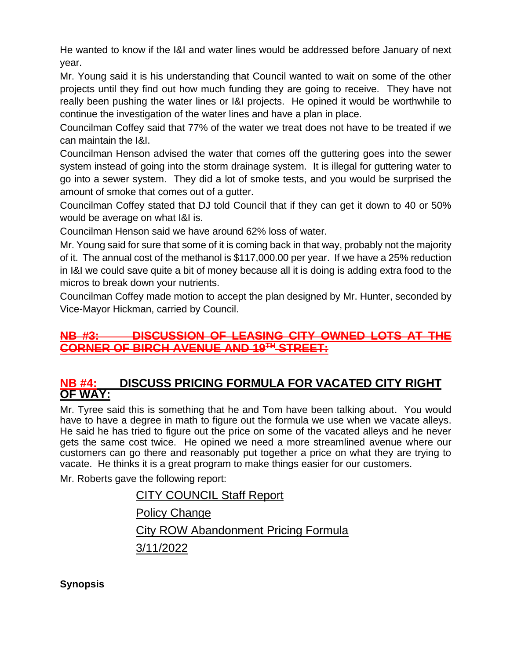He wanted to know if the I&I and water lines would be addressed before January of next year.

Mr. Young said it is his understanding that Council wanted to wait on some of the other projects until they find out how much funding they are going to receive. They have not really been pushing the water lines or I&I projects. He opined it would be worthwhile to continue the investigation of the water lines and have a plan in place.

Councilman Coffey said that 77% of the water we treat does not have to be treated if we can maintain the I&I.

Councilman Henson advised the water that comes off the guttering goes into the sewer system instead of going into the storm drainage system. It is illegal for guttering water to go into a sewer system. They did a lot of smoke tests, and you would be surprised the amount of smoke that comes out of a gutter.

Councilman Coffey stated that DJ told Council that if they can get it down to 40 or 50% would be average on what I&I is.

Councilman Henson said we have around 62% loss of water.

Mr. Young said for sure that some of it is coming back in that way, probably not the majority of it. The annual cost of the methanol is \$117,000.00 per year. If we have a 25% reduction in I&I we could save quite a bit of money because all it is doing is adding extra food to the micros to break down your nutrients.

Councilman Coffey made motion to accept the plan designed by Mr. Hunter, seconded by Vice-Mayor Hickman, carried by Council.

## **NB #3: DISCUSSION OF LEASING CITY OWNED LOTS AT THE CORNER OF BIRCH AVENUE AND 19TH STREET:**

## **NB #4: DISCUSS PRICING FORMULA FOR VACATED CITY RIGHT OF WAY:**

Mr. Tyree said this is something that he and Tom have been talking about. You would have to have a degree in math to figure out the formula we use when we vacate alleys. He said he has tried to figure out the price on some of the vacated alleys and he never gets the same cost twice. He opined we need a more streamlined avenue where our customers can go there and reasonably put together a price on what they are trying to vacate. He thinks it is a great program to make things easier for our customers.

Mr. Roberts gave the following report:

CITY COUNCIL Staff Report Policy Change City ROW Abandonment Pricing Formula 3/11/2022

**Synopsis**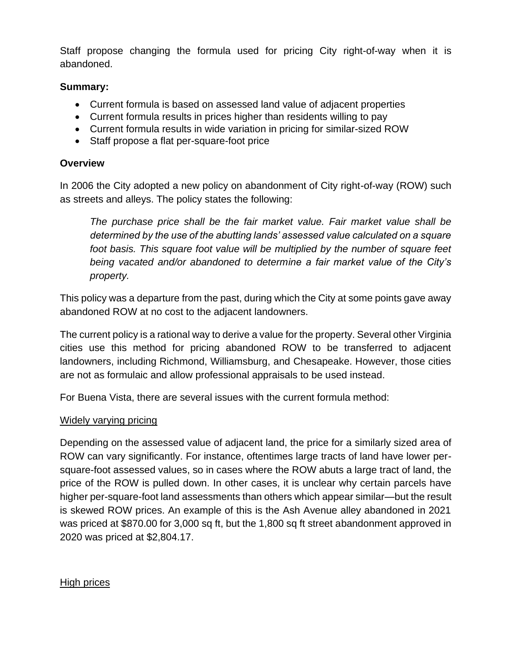Staff propose changing the formula used for pricing City right-of-way when it is abandoned.

### **Summary:**

- Current formula is based on assessed land value of adjacent properties
- Current formula results in prices higher than residents willing to pay
- Current formula results in wide variation in pricing for similar-sized ROW
- Staff propose a flat per-square-foot price

### **Overview**

In 2006 the City adopted a new policy on abandonment of City right-of-way (ROW) such as streets and alleys. The policy states the following:

*The purchase price shall be the fair market value. Fair market value shall be determined by the use of the abutting lands' assessed value calculated on a square foot basis. This square foot value will be multiplied by the number of square feet being vacated and/or abandoned to determine a fair market value of the City's property.*

This policy was a departure from the past, during which the City at some points gave away abandoned ROW at no cost to the adjacent landowners.

The current policy is a rational way to derive a value for the property. Several other Virginia cities use this method for pricing abandoned ROW to be transferred to adjacent landowners, including Richmond, Williamsburg, and Chesapeake. However, those cities are not as formulaic and allow professional appraisals to be used instead.

For Buena Vista, there are several issues with the current formula method:

### Widely varying pricing

Depending on the assessed value of adjacent land, the price for a similarly sized area of ROW can vary significantly. For instance, oftentimes large tracts of land have lower persquare-foot assessed values, so in cases where the ROW abuts a large tract of land, the price of the ROW is pulled down. In other cases, it is unclear why certain parcels have higher per-square-foot land assessments than others which appear similar—but the result is skewed ROW prices. An example of this is the Ash Avenue alley abandoned in 2021 was priced at \$870.00 for 3,000 sq ft, but the 1,800 sq ft street abandonment approved in 2020 was priced at \$2,804.17.

### High prices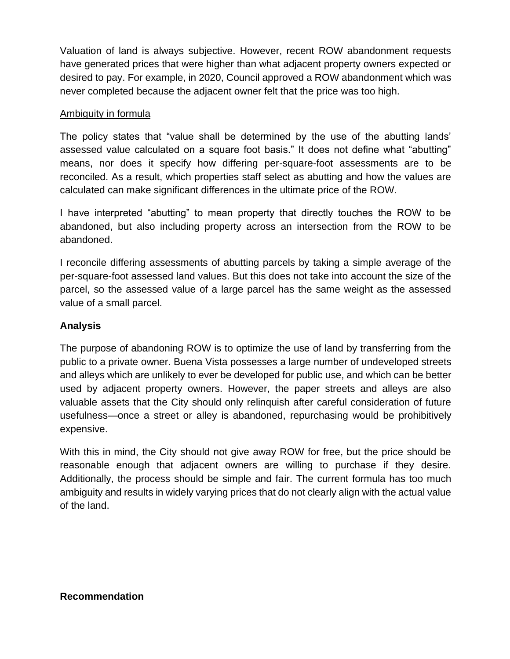Valuation of land is always subjective. However, recent ROW abandonment requests have generated prices that were higher than what adjacent property owners expected or desired to pay. For example, in 2020, Council approved a ROW abandonment which was never completed because the adjacent owner felt that the price was too high.

### Ambiguity in formula

The policy states that "value shall be determined by the use of the abutting lands' assessed value calculated on a square foot basis." It does not define what "abutting" means, nor does it specify how differing per-square-foot assessments are to be reconciled. As a result, which properties staff select as abutting and how the values are calculated can make significant differences in the ultimate price of the ROW.

I have interpreted "abutting" to mean property that directly touches the ROW to be abandoned, but also including property across an intersection from the ROW to be abandoned.

I reconcile differing assessments of abutting parcels by taking a simple average of the per-square-foot assessed land values. But this does not take into account the size of the parcel, so the assessed value of a large parcel has the same weight as the assessed value of a small parcel.

### **Analysis**

The purpose of abandoning ROW is to optimize the use of land by transferring from the public to a private owner. Buena Vista possesses a large number of undeveloped streets and alleys which are unlikely to ever be developed for public use, and which can be better used by adjacent property owners. However, the paper streets and alleys are also valuable assets that the City should only relinquish after careful consideration of future usefulness—once a street or alley is abandoned, repurchasing would be prohibitively expensive.

With this in mind, the City should not give away ROW for free, but the price should be reasonable enough that adjacent owners are willing to purchase if they desire. Additionally, the process should be simple and fair. The current formula has too much ambiguity and results in widely varying prices that do not clearly align with the actual value of the land.

### **Recommendation**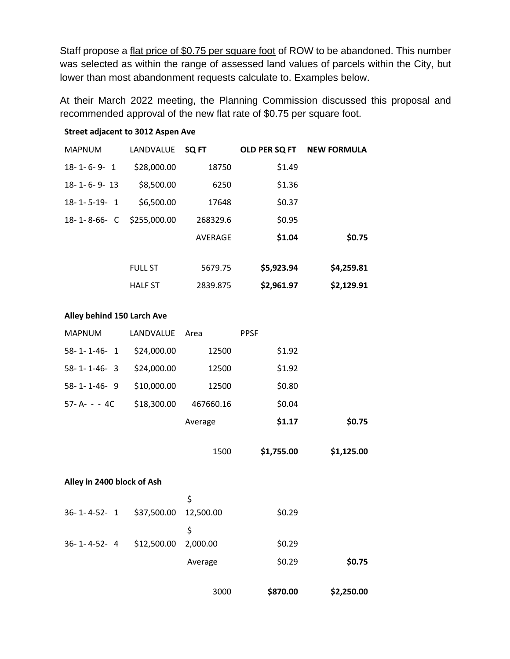Staff propose a flat price of \$0.75 per square foot of ROW to be abandoned. This number was selected as within the range of assessed land values of parcels within the City, but lower than most abandonment requests calculate to. Examples below.

At their March 2022 meeting, the Planning Commission discussed this proposal and recommended approval of the new flat rate of \$0.75 per square foot.

#### **Street adjacent to 3012 Aspen Ave**

| <b>MAPNUM</b>         | LANDVALUE      | SQ FT    | OLD PER SQ FT | <b>NEW FORMULA</b> |
|-----------------------|----------------|----------|---------------|--------------------|
| $18 - 1 - 6 - 9 - 1$  | \$28,000.00    | 18750    | \$1.49        |                    |
| $18 - 1 - 6 - 9 - 13$ | \$8,500.00     | 6250     | \$1.36        |                    |
| $18 - 1 - 5 - 19 - 1$ | \$6,500.00     | 17648    | \$0.37        |                    |
| $18 - 1 - 8 - 66 - C$ | \$255,000.00   | 268329.6 | \$0.95        |                    |
|                       |                | AVERAGE  | \$1.04        | \$0.75             |
|                       |                |          |               |                    |
|                       | <b>FULL ST</b> | 5679.75  | \$5,923.94    | \$4,259.81         |
|                       | <b>HALF ST</b> | 2839.875 | \$2,961.97    | \$2,129.91         |

#### **Alley behind 150 Larch Ave**

| <b>MAPNUM</b>         | LANDVALUE   | Area      | <b>PPSF</b> |            |
|-----------------------|-------------|-----------|-------------|------------|
| $58 - 1 - 1 - 46 - 1$ | \$24,000.00 | 12500     | \$1.92      |            |
| $58 - 1 - 1 - 46 - 3$ | \$24,000.00 | 12500     | \$1.92      |            |
| $58 - 1 - 1 - 46 - 9$ | \$10,000.00 | 12500     | \$0.80      |            |
| $57 - A - - 4C$       | \$18,300.00 | 467660.16 | \$0.04      |            |
|                       |             | Average   | \$1.17      | \$0.75     |
|                       |             | 1500      | \$1,755.00  | \$1,125.00 |

#### **Alley in 2400 block of Ash**

|                       |                       | 3000    | \$870.00 | \$2,250.00 |
|-----------------------|-----------------------|---------|----------|------------|
|                       |                       | Average | \$0.29   | \$0.75     |
| $36 - 1 - 4 - 52 - 4$ | \$12,500.00 2,000.00  |         | \$0.29   |            |
|                       |                       | Ś       |          |            |
| $36 - 1 - 4 - 52 - 1$ | \$37,500.00 12,500.00 |         | \$0.29   |            |
|                       |                       | \$      |          |            |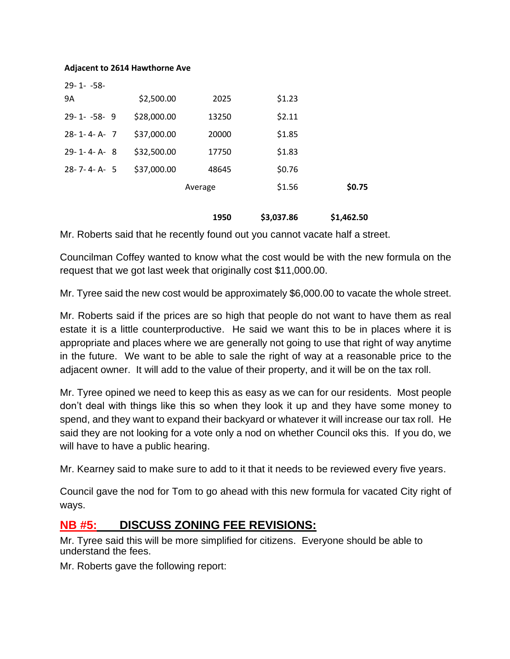#### **Adjacent to 2614 Hawthorne Ave**

| $29 - 1 - -58$       |             |         |        |        |
|----------------------|-------------|---------|--------|--------|
| 9A                   | \$2,500.00  | 2025    | \$1.23 |        |
| $29 - 1 - -58 - 9$   | \$28,000.00 | 13250   | \$2.11 |        |
| $28 - 1 - 4 - A - 7$ | \$37,000.00 | 20000   | \$1.85 |        |
| $29 - 1 - 4 - A - 8$ | \$32,500.00 | 17750   | \$1.83 |        |
| $28 - 7 - 4 - A - 5$ | \$37,000.00 | 48645   | \$0.76 |        |
|                      |             | Average | \$1.56 | \$0.75 |
|                      |             |         |        |        |

**1950 \$3,037.86 \$1,462.50**

Mr. Roberts said that he recently found out you cannot vacate half a street.

Councilman Coffey wanted to know what the cost would be with the new formula on the request that we got last week that originally cost \$11,000.00.

Mr. Tyree said the new cost would be approximately \$6,000.00 to vacate the whole street.

Mr. Roberts said if the prices are so high that people do not want to have them as real estate it is a little counterproductive. He said we want this to be in places where it is appropriate and places where we are generally not going to use that right of way anytime in the future. We want to be able to sale the right of way at a reasonable price to the adjacent owner. It will add to the value of their property, and it will be on the tax roll.

Mr. Tyree opined we need to keep this as easy as we can for our residents. Most people don't deal with things like this so when they look it up and they have some money to spend, and they want to expand their backyard or whatever it will increase our tax roll. He said they are not looking for a vote only a nod on whether Council oks this. If you do, we will have to have a public hearing.

Mr. Kearney said to make sure to add to it that it needs to be reviewed every five years.

Council gave the nod for Tom to go ahead with this new formula for vacated City right of ways.

## **NB #5: DISCUSS ZONING FEE REVISIONS:**

Mr. Tyree said this will be more simplified for citizens. Everyone should be able to understand the fees.

Mr. Roberts gave the following report: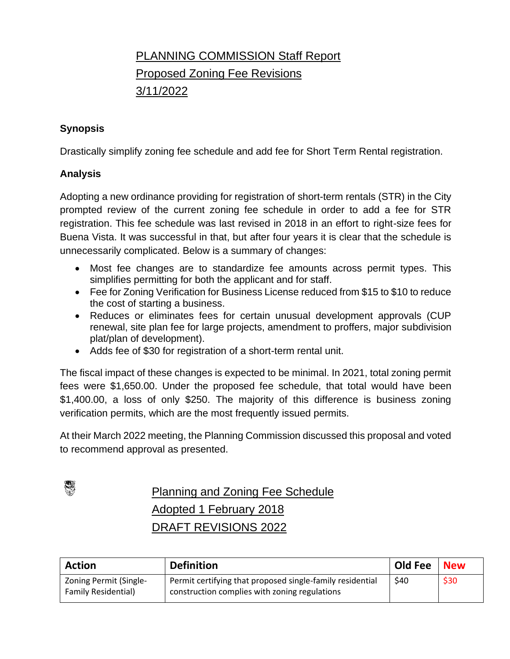## PLANNING COMMISSION Staff Report Proposed Zoning Fee Revisions 3/11/2022

### **Synopsis**

Drastically simplify zoning fee schedule and add fee for Short Term Rental registration.

### **Analysis**

Adopting a new ordinance providing for registration of short-term rentals (STR) in the City prompted review of the current zoning fee schedule in order to add a fee for STR registration. This fee schedule was last revised in 2018 in an effort to right-size fees for Buena Vista. It was successful in that, but after four years it is clear that the schedule is unnecessarily complicated. Below is a summary of changes:

- Most fee changes are to standardize fee amounts across permit types. This simplifies permitting for both the applicant and for staff.
- Fee for Zoning Verification for Business License reduced from \$15 to \$10 to reduce the cost of starting a business.
- Reduces or eliminates fees for certain unusual development approvals (CUP renewal, site plan fee for large projects, amendment to proffers, major subdivision plat/plan of development).
- Adds fee of \$30 for registration of a short-term rental unit.

The fiscal impact of these changes is expected to be minimal. In 2021, total zoning permit fees were \$1,650.00. Under the proposed fee schedule, that total would have been \$1,400.00, a loss of only \$250. The majority of this difference is business zoning verification permits, which are the most frequently issued permits.

At their March 2022 meeting, the Planning Commission discussed this proposal and voted to recommend approval as presented.



Planning and Zoning Fee Schedule Adopted 1 February 2018 DRAFT REVISIONS 2022

| <b>Action</b>              | <b>Definition</b>                                         | Old Fee | <b>New</b> |
|----------------------------|-----------------------------------------------------------|---------|------------|
| Zoning Permit (Single-     | Permit certifying that proposed single-family residential | \$40    | \$30       |
| <b>Family Residential)</b> | construction complies with zoning regulations             |         |            |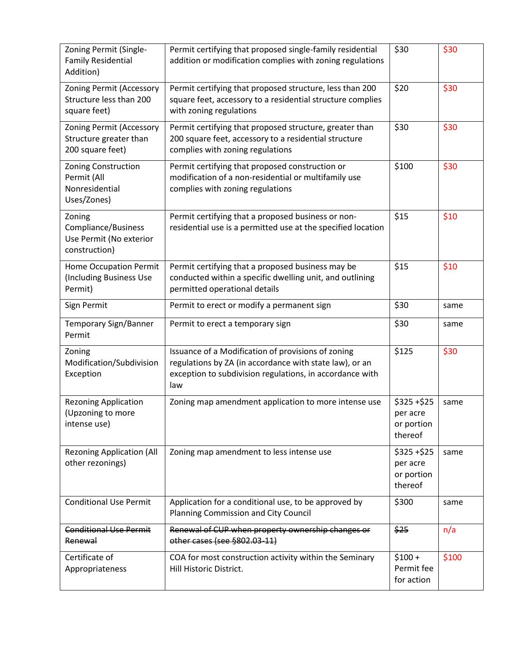| Zoning Permit (Single-<br><b>Family Residential</b><br>Addition)              | Permit certifying that proposed single-family residential<br>addition or modification complies with zoning regulations                                                           | \$30                                              | \$30  |
|-------------------------------------------------------------------------------|----------------------------------------------------------------------------------------------------------------------------------------------------------------------------------|---------------------------------------------------|-------|
| Zoning Permit (Accessory<br>Structure less than 200<br>square feet)           | Permit certifying that proposed structure, less than 200<br>square feet, accessory to a residential structure complies<br>with zoning regulations                                | \$20                                              | \$30  |
| <b>Zoning Permit (Accessory</b><br>Structure greater than<br>200 square feet) | Permit certifying that proposed structure, greater than<br>200 square feet, accessory to a residential structure<br>complies with zoning regulations                             | \$30                                              | \$30  |
| Zoning Construction<br>Permit (All<br>Nonresidential<br>Uses/Zones)           | Permit certifying that proposed construction or<br>modification of a non-residential or multifamily use<br>complies with zoning regulations                                      | \$100                                             | \$30  |
| Zoning<br>Compliance/Business<br>Use Permit (No exterior<br>construction)     | Permit certifying that a proposed business or non-<br>residential use is a permitted use at the specified location                                                               | \$15                                              | \$10  |
| <b>Home Occupation Permit</b><br>(Including Business Use<br>Permit)           | Permit certifying that a proposed business may be<br>conducted within a specific dwelling unit, and outlining<br>permitted operational details                                   | \$15                                              | \$10  |
| Sign Permit                                                                   | Permit to erect or modify a permanent sign                                                                                                                                       | \$30                                              | same  |
| Temporary Sign/Banner<br>Permit                                               | Permit to erect a temporary sign                                                                                                                                                 | \$30                                              | same  |
| Zoning<br>Modification/Subdivision<br>Exception                               | Issuance of a Modification of provisions of zoning<br>regulations by ZA (in accordance with state law), or an<br>exception to subdivision regulations, in accordance with<br>law | \$125                                             | \$30  |
| <b>Rezoning Application</b><br>(Upzoning to more<br>intense use)              | Zoning map amendment application to more intense use                                                                                                                             | $$325 + $25$<br>per acre<br>or portion<br>thereof | same  |
| <b>Rezoning Application (All</b><br>other rezonings)                          | Zoning map amendment to less intense use                                                                                                                                         | \$325+\$25<br>per acre<br>or portion<br>thereof   | same  |
| <b>Conditional Use Permit</b>                                                 | Application for a conditional use, to be approved by<br><b>Planning Commission and City Council</b>                                                                              | \$300                                             | same  |
| <b>Conditional Use Permit</b><br>Renewal                                      | Renewal of CUP when property ownership changes or<br>other cases (see §802.03-11)                                                                                                | \$25                                              | n/a   |
| Certificate of<br>Appropriateness                                             | COA for most construction activity within the Seminary<br>Hill Historic District.                                                                                                | $$100 +$<br>Permit fee<br>for action              | \$100 |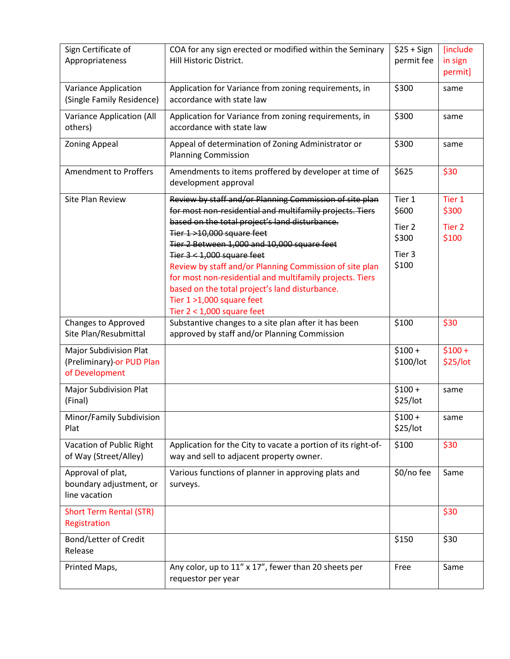| Sign Certificate of<br>Appropriateness                                       | COA for any sign erected or modified within the Seminary<br>Hill Historic District.                                                                                                                                                                                                                                                                                                                                                                                                                                     | $$25 + Sign$<br>permit fee                                       | [include<br>in sign<br>permit]                |
|------------------------------------------------------------------------------|-------------------------------------------------------------------------------------------------------------------------------------------------------------------------------------------------------------------------------------------------------------------------------------------------------------------------------------------------------------------------------------------------------------------------------------------------------------------------------------------------------------------------|------------------------------------------------------------------|-----------------------------------------------|
| Variance Application<br>(Single Family Residence)                            | Application for Variance from zoning requirements, in<br>accordance with state law                                                                                                                                                                                                                                                                                                                                                                                                                                      | \$300                                                            | same                                          |
| Variance Application (All<br>others)                                         | Application for Variance from zoning requirements, in<br>accordance with state law                                                                                                                                                                                                                                                                                                                                                                                                                                      | \$300                                                            | same                                          |
| <b>Zoning Appeal</b>                                                         | Appeal of determination of Zoning Administrator or<br><b>Planning Commission</b>                                                                                                                                                                                                                                                                                                                                                                                                                                        | \$300                                                            | same                                          |
| <b>Amendment to Proffers</b>                                                 | Amendments to items proffered by developer at time of<br>development approval                                                                                                                                                                                                                                                                                                                                                                                                                                           | \$625                                                            | \$30                                          |
| <b>Site Plan Review</b>                                                      | Review by staff and/or Planning Commission of site plan<br>for most non-residential and multifamily projects. Tiers<br>based on the total project's land disturbance.<br>Tier 1>10,000 square feet<br>Tier 2 Between 1,000 and 10,000 square feet<br>Tier $3 < 1,000$ square feet<br>Review by staff and/or Planning Commission of site plan<br>for most non-residential and multifamily projects. Tiers<br>based on the total project's land disturbance.<br>Tier 1 >1,000 square feet<br>Tier $2 < 1,000$ square feet | Tier 1<br>\$600<br>Tier <sub>2</sub><br>\$300<br>Tier 3<br>\$100 | Tier 1<br>\$300<br>Tier <sub>2</sub><br>\$100 |
| <b>Changes to Approved</b><br>Site Plan/Resubmittal                          | Substantive changes to a site plan after it has been<br>approved by staff and/or Planning Commission                                                                                                                                                                                                                                                                                                                                                                                                                    | \$100                                                            | \$30                                          |
| <b>Major Subdivision Plat</b><br>(Preliminary) or PUD Plan<br>of Development |                                                                                                                                                                                                                                                                                                                                                                                                                                                                                                                         | $$100 +$<br>\$100/lot                                            | $$100 +$<br>\$25/lot                          |
| <b>Major Subdivision Plat</b><br>(Final)                                     |                                                                                                                                                                                                                                                                                                                                                                                                                                                                                                                         | $$100 +$<br>\$25/lot                                             | same                                          |
| Minor/Family Subdivision<br>Plat                                             |                                                                                                                                                                                                                                                                                                                                                                                                                                                                                                                         | $$100 +$<br>\$25/lot                                             | same                                          |
| Vacation of Public Right<br>of Way (Street/Alley)                            | Application for the City to vacate a portion of its right-of-<br>way and sell to adjacent property owner.                                                                                                                                                                                                                                                                                                                                                                                                               | \$100                                                            | \$30                                          |
| Approval of plat,<br>boundary adjustment, or<br>line vacation                | Various functions of planner in approving plats and<br>surveys.                                                                                                                                                                                                                                                                                                                                                                                                                                                         | \$0/no fee                                                       | Same                                          |
| <b>Short Term Rental (STR)</b><br>Registration                               |                                                                                                                                                                                                                                                                                                                                                                                                                                                                                                                         |                                                                  | \$30                                          |
| Bond/Letter of Credit<br>Release                                             |                                                                                                                                                                                                                                                                                                                                                                                                                                                                                                                         | \$150                                                            | \$30                                          |
| Printed Maps,                                                                | Any color, up to 11" x 17", fewer than 20 sheets per<br>requestor per year                                                                                                                                                                                                                                                                                                                                                                                                                                              | Free                                                             | Same                                          |